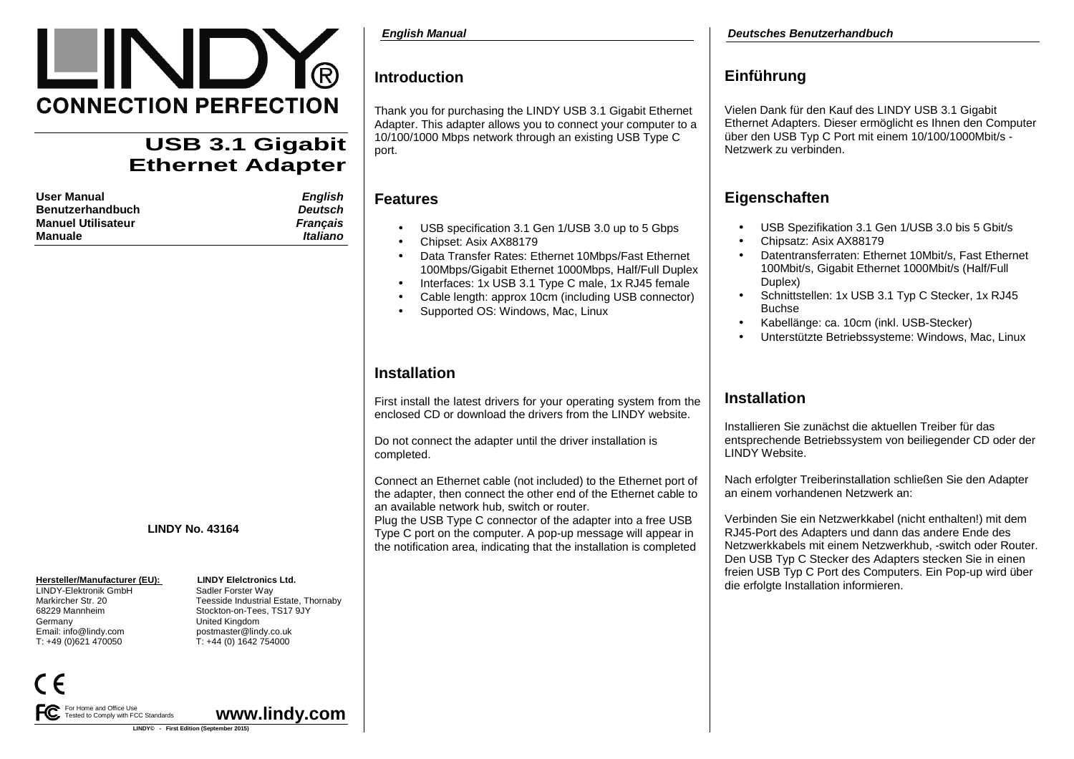

# **USB 3.1 Gigabit Ethernet Adapter**

| User Manual        | English         |
|--------------------|-----------------|
| Benutzerhandbuch   | Deutsch         |
| Manuel Utilisateur | <b>Francais</b> |
| Manuale            | Italiano        |
|                    |                 |

### **LINDY No. 43164**

LINDY-Elektronik GmbH<br>Markircher Str. 20 Germany United Kingdom T: +49 (0)621 470050 T: +44 (0) 1642 754000

For Home and Office Use

Tested to Comply with FCC Standards

# **Hersteller/Manufacturer (EU):** LINDY Elelctronics Ltd.<br>
LINDY-Elektronik GmbH Sadler Forster Way Markircher Str. 20 Teesside Industrial Estate, Thornaby 68229 Mannheim Stockton-on-Tees, TS17 9JYEmail: info@lindy.com postmaster@lindy.co.uk

**www.lindy.com** 

# **Introduction**

Thank you for purchasing the LINDY USB 3.1 Gigabit Ethernet Adapter. This adapter allows you to connect your computer to a 10/100/1000 Mbps network through an existing USB Type C port.

### **Features**

- USB specification 3.1 Gen 1/USB 3.0 up to 5 Gbps
- Chipset: Asix AX88179
- Data Transfer Rates: Ethernet 10Mbps/Fast Ethernet100Mbps/Gigabit Ethernet 1000Mbps, Half/Full Duplex
- Interfaces: 1x USB 3.1 Type C male, 1x RJ45 female
- Cable length: approx 10cm (including USB connector)
- Supported OS: Windows, Mac, Linux

# **Installation**

First install the latest drivers for your operating system from the enclosed CD or download the drivers from the LINDY website.

Do not connect the adapter until the driver installation is completed.

Connect an Ethernet cable (not included) to the Ethernet port of the adapter, then connect the other end of the Ethernet cable to an available network hub, switch or router.

 Plug the USB Type C connector of the adapter into a free USB Type C port on the computer. A pop-up message will appear in the notification area, indicating that the installation is completed

# **Einführung**

Vielen Dank für den Kauf des LINDY USB 3.1 Gigabit Ethernet Adapters. Dieser ermöglicht es Ihnen den Computer über den USB Typ C Port mit einem 10/100/1000Mbit/s -Netzwerk zu verbinden.

# **Eigenschaften**

- USB Spezifikation 3.1 Gen 1/USB 3.0 bis 5 Gbit/s
- Chipsatz: Asix AX88179
- Datentransferraten: Ethernet 10Mbit/s, Fast Ethernet 100Mbit/s, Gigabit Ethernet 1000Mbit/s (Half/Full Duplex)
- Schnittstellen: 1x USB 3.1 Typ C Stecker, 1x RJ45 Buchse
- Kabellänge: ca. 10cm (inkl. USB-Stecker)
- Unterstützte Betriebssysteme: Windows, Mac, Linux

### **Installation**

Installieren Sie zunächst die aktuellen Treiber für das entsprechende Betriebssystem von beiliegender CD oder der LINDY Website.

Nach erfolgter Treiberinstallation schließen Sie den Adapter an einem vorhandenen Netzwerk an:

Verbinden Sie ein Netzwerkkabel (nicht enthalten!) mit dem RJ45-Port des Adapters und dann das andere Ende des Netzwerkkabels mit einem Netzwerkhub, -switch oder Router. Den USB Typ C Stecker des Adapters stecken Sie in einen freien USB Typ C Port des Computers. Ein Pop-up wird über die erfolgte Installation informieren.